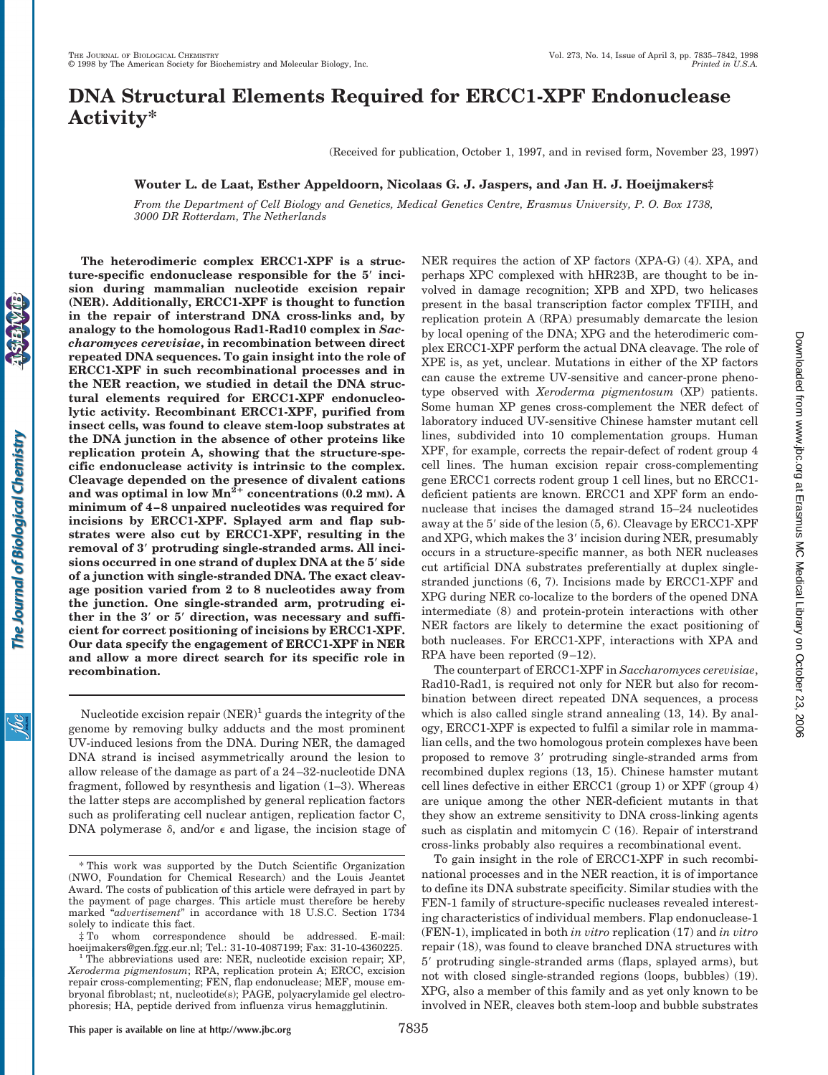# **DNA Structural Elements Required for ERCC1-XPF Endonuclease Activity\***

(Received for publication, October 1, 1997, and in revised form, November 23, 1997)

## **Wouter L. de Laat, Esther Appeldoorn, Nicolaas G. J. Jaspers, and Jan H. J. Hoeijmakers‡**

*From the Department of Cell Biology and Genetics, Medical Genetics Centre, Erasmus University, P. O. Box 1738, 3000 DR Rotterdam, The Netherlands*

Š

**The heterodimeric complex ERCC1-XPF is a structure-specific endonuclease responsible for the 5**\* **incision during mammalian nucleotide excision repair (NER). Additionally, ERCC1-XPF is thought to function in the repair of interstrand DNA cross-links and, by analogy to the homologous Rad1-Rad10 complex in** *Saccharomyces cerevisiae***, in recombination between direct repeated DNA sequences. To gain insight into the role of ERCC1-XPF in such recombinational processes and in the NER reaction, we studied in detail the DNA structural elements required for ERCC1-XPF endonucleolytic activity. Recombinant ERCC1-XPF, purified from insect cells, was found to cleave stem-loop substrates at the DNA junction in the absence of other proteins like replication protein A, showing that the structure-specific endonuclease activity is intrinsic to the complex. Cleavage depended on the presence of divalent cations** and was optimal in low  $Mn^2$ <sup>+</sup> concentrations (0.2 mm). A **minimum of 4–8 unpaired nucleotides was required for incisions by ERCC1-XPF. Splayed arm and flap substrates were also cut by ERCC1-XPF, resulting in the removal of 3**\* **protruding single-stranded arms. All incisions occurred in one strand of duplex DNA at the 5**\* **side of a junction with single-stranded DNA. The exact cleavage position varied from 2 to 8 nucleotides away from the junction. One single-stranded arm, protruding either in the 3**\* **or 5**\* **direction, was necessary and sufficient for correct positioning of incisions by ERCC1-XPF. Our data specify the engagement of ERCC1-XPF in NER and allow a more direct search for its specific role in recombination.**

Nucleotide excision repair  $(NER)^1$  guards the integrity of the genome by removing bulky adducts and the most prominent UV-induced lesions from the DNA. During NER, the damaged DNA strand is incised asymmetrically around the lesion to allow release of the damage as part of a 24–32-nucleotide DNA fragment, followed by resynthesis and ligation (1–3). Whereas the latter steps are accomplished by general replication factors such as proliferating cell nuclear antigen, replication factor C, DNA polymerase  $\delta$ , and/or  $\epsilon$  and ligase, the incision stage of

 $\ddagger$  To whom correspondence should be addressed. E-mail: hoeijmakers@gen.fgg.eur.nl; Tel.: 31-10-4087199; Fax: 31-10-4360225.

NER requires the action of XP factors (XPA-G) (4). XPA, and perhaps XPC complexed with hHR23B, are thought to be involved in damage recognition; XPB and XPD, two helicases present in the basal transcription factor complex TFIIH, and replication protein A (RPA) presumably demarcate the lesion by local opening of the DNA; XPG and the heterodimeric complex ERCC1-XPF perform the actual DNA cleavage. The role of XPE is, as yet, unclear. Mutations in either of the XP factors can cause the extreme UV-sensitive and cancer-prone phenotype observed with *Xeroderma pigmentosum* (XP) patients. Some human XP genes cross-complement the NER defect of laboratory induced UV-sensitive Chinese hamster mutant cell lines, subdivided into 10 complementation groups. Human XPF, for example, corrects the repair-defect of rodent group 4 cell lines. The human excision repair cross-complementing gene ERCC1 corrects rodent group 1 cell lines, but no ERCC1 deficient patients are known. ERCC1 and XPF form an endonuclease that incises the damaged strand 15–24 nucleotides away at the  $5'$  side of the lesion  $(5, 6)$ . Cleavage by ERCC1-XPF and XPG, which makes the 3' incision during NER, presumably occurs in a structure-specific manner, as both NER nucleases cut artificial DNA substrates preferentially at duplex singlestranded junctions (6, 7). Incisions made by ERCC1-XPF and XPG during NER co-localize to the borders of the opened DNA intermediate (8) and protein-protein interactions with other NER factors are likely to determine the exact positioning of both nucleases. For ERCC1-XPF, interactions with XPA and RPA have been reported (9–12).

Downloaded from www.jbc.org at Erasmus MC Medical Library on October 23, 2006 at Erasmus MC Medical Library on October 23, 2006 [www.jbc.or](http://www.jbc.org)g Downloaded from

The counterpart of ERCC1-XPF in *Saccharomyces cerevisiae*, Rad10-Rad1, is required not only for NER but also for recombination between direct repeated DNA sequences, a process which is also called single strand annealing (13, 14). By analogy, ERCC1-XPF is expected to fulfil a similar role in mammalian cells, and the two homologous protein complexes have been proposed to remove 3' protruding single-stranded arms from recombined duplex regions (13, 15). Chinese hamster mutant cell lines defective in either ERCC1 (group 1) or XPF (group 4) are unique among the other NER-deficient mutants in that they show an extreme sensitivity to DNA cross-linking agents such as cisplatin and mitomycin C (16). Repair of interstrand cross-links probably also requires a recombinational event.

To gain insight in the role of ERCC1-XPF in such recombinational processes and in the NER reaction, it is of importance to define its DNA substrate specificity. Similar studies with the FEN-1 family of structure-specific nucleases revealed interesting characteristics of individual members. Flap endonuclease-1 (FEN-1), implicated in both *in vitro* replication (17) and *in vitro* repair (18), was found to cleave branched DNA structures with 5' protruding single-stranded arms (flaps, splayed arms), but not with closed single-stranded regions (loops, bubbles) (19). XPG, also a member of this family and as yet only known to be involved in NER, cleaves both stem-loop and bubble substrates

This work was supported by the Dutch Scientific Organization (NWO, Foundation for Chemical Research) and the Louis Jeantet Award. The costs of publication of this article were defrayed in part by the payment of page charges. This article must therefore be hereby marked "*advertisement*" in accordance with 18 U.S.C. Section 1734 solely to indicate this fact.

<sup>&</sup>lt;sup>1</sup> The abbreviations used are: NER, nucleotide excision repair; XP, *Xeroderma pigmentosum*; RPA, replication protein A; ERCC, excision repair cross-complementing; FEN, flap endonuclease; MEF, mouse embryonal fibroblast; nt, nucleotide(s); PAGE, polyacrylamide gel electrophoresis; HA, peptide derived from influenza virus hemagglutinin.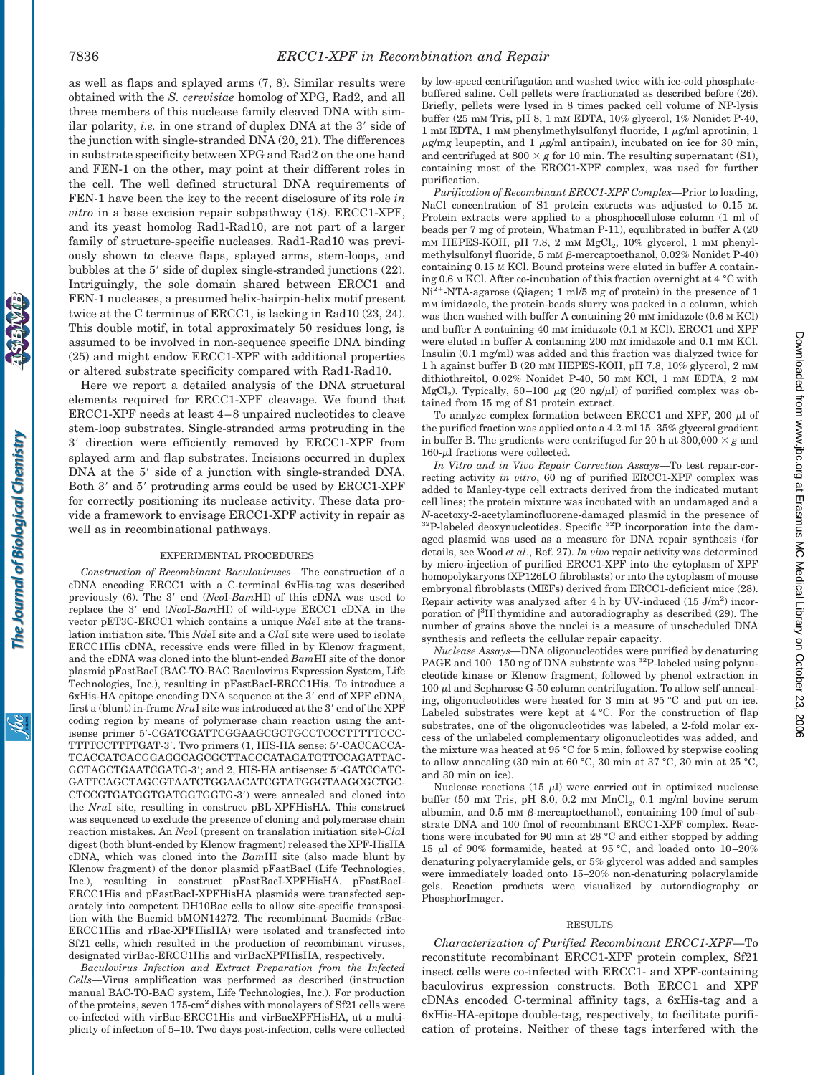The Journal of Biological Chemistry

<u>isi</u>

as well as flaps and splayed arms (7, 8). Similar results were obtained with the *S. cerevisiae* homolog of XPG, Rad2, and all three members of this nuclease family cleaved DNA with similar polarity, *i.e.* in one strand of duplex DNA at the 3' side of the junction with single-stranded DNA (20, 21). The differences in substrate specificity between XPG and Rad2 on the one hand and FEN-1 on the other, may point at their different roles in the cell. The well defined structural DNA requirements of FEN-1 have been the key to the recent disclosure of its role *in vitro* in a base excision repair subpathway (18). ERCC1-XPF, and its yeast homolog Rad1-Rad10, are not part of a larger family of structure-specific nucleases. Rad1-Rad10 was previously shown to cleave flaps, splayed arms, stem-loops, and bubbles at the  $5'$  side of duplex single-stranded junctions  $(22)$ . Intriguingly, the sole domain shared between ERCC1 and FEN-1 nucleases, a presumed helix-hairpin-helix motif present twice at the C terminus of ERCC1, is lacking in Rad10 (23, 24). This double motif, in total approximately 50 residues long, is assumed to be involved in non-sequence specific DNA binding (25) and might endow ERCC1-XPF with additional properties or altered substrate specificity compared with Rad1-Rad10.

Here we report a detailed analysis of the DNA structural elements required for ERCC1-XPF cleavage. We found that ERCC1-XPF needs at least 4–8 unpaired nucleotides to cleave stem-loop substrates. Single-stranded arms protruding in the  $3'$  direction were efficiently removed by ERCC1-XPF from splayed arm and flap substrates. Incisions occurred in duplex DNA at the 5' side of a junction with single-stranded DNA. Both 3' and 5' protruding arms could be used by ERCC1-XPF for correctly positioning its nuclease activity. These data provide a framework to envisage ERCC1-XPF activity in repair as well as in recombinational pathways.

### EXPERIMENTAL PROCEDURES

*Construction of Recombinant Baculoviruses—*The construction of a cDNA encoding ERCC1 with a C-terminal 6xHis-tag was described previously (6). The 3' end (*NcoI-BamHI*) of this cDNA was used to replace the 3' end (*NcoI-BamHI*) of wild-type ERCC1 cDNA in the vector pET3C-ERCC1 which contains a unique *Nde*I site at the translation initiation site. This *Nde*I site and a *Cla*I site were used to isolate ERCC1His cDNA, recessive ends were filled in by Klenow fragment, and the cDNA was cloned into the blunt-ended *Bam*HI site of the donor plasmid pFastBacI (BAC-TO-BAC Baculovirus Expression System, Life Technologies, Inc.), resulting in pFastBacI-ERCC1His. To introduce a 6xHis-HA epitope encoding DNA sequence at the 3' end of XPF cDNA, first a (blunt) in-frame *NruI* site was introduced at the 3' end of the XPF coding region by means of polymerase chain reaction using the antisense primer 5'-CGATCGATTCGGAAGCGCTGCCTCCCTTTTTCCC-TTTTCCTTTTGAT-3'. Two primers (1, HIS-HA sense: 5'-CACCACCA-TCACCATCACGGAGGCAGCGCTTACCCATAGATGTTCCAGATTAC-GCTAGCTGAATCGATG-3'; and 2. HIS-HA antisense: 5'-GATCCATC-GATTCAGCTAGCGTAATCTGGAACATCGTATGGGTAAGCGCTGC-CTCCGTGATGGTGATGGTGGTG-3') were annealed and cloned into the *Nru*I site, resulting in construct pBL-XPFHisHA. This construct was sequenced to exclude the presence of cloning and polymerase chain reaction mistakes. An *Nco*I (present on translation initiation site)-*Cla*I digest (both blunt-ended by Klenow fragment) released the XPF-HisHA cDNA, which was cloned into the *Bam*HI site (also made blunt by Klenow fragment) of the donor plasmid pFastBacI (Life Technologies, Inc.), resulting in construct pFastBacI-XPFHisHA. pFastBacI-ERCC1His and pFastBacI-XPFHisHA plasmids were transfected separately into competent DH10Bac cells to allow site-specific transposition with the Bacmid bMON14272. The recombinant Bacmids (rBac-ERCC1His and rBac-XPFHisHA) were isolated and transfected into Sf21 cells, which resulted in the production of recombinant viruses, designated virBac-ERCC1His and virBacXPFHisHA, respectively.

*Baculovirus Infection and Extract Preparation from the Infected Cells—*Virus amplification was performed as described (instruction manual BAC-TO-BAC system, Life Technologies, Inc.). For production of the proteins, seven 175-cm2 dishes with monolayers of Sf21 cells were co-infected with virBac-ERCC1His and virBacXPFHisHA, at a multiplicity of infection of 5–10. Two days post-infection, cells were collected by low-speed centrifugation and washed twice with ice-cold phosphatebuffered saline. Cell pellets were fractionated as described before (26). Briefly, pellets were lysed in 8 times packed cell volume of NP-lysis buffer (25 mM Tris, pH 8, 1 mM EDTA, 10% glycerol, 1% Nonidet P-40,  $1 \text{ mm}$  EDTA, 1 mm phenylmethylsulfonyl fluoride,  $1 \mu$ g/ml aprotinin,  $1 \mu$  $\mu$ g/mg leupeptin, and 1  $\mu$ g/ml antipain), incubated on ice for 30 min, and centrifuged at  $800 \times g$  for 10 min. The resulting supernatant (S1), containing most of the ERCC1-XPF complex, was used for further purification.

*Purification of Recombinant ERCC1-XPF Complex—*Prior to loading, NaCl concentration of S1 protein extracts was adjusted to 0.15 M. Protein extracts were applied to a phosphocellulose column (1 ml of beads per 7 mg of protein, Whatman P-11), equilibrated in buffer A (20  $mm$  HEPES-KOH, pH 7.8, 2 mm  $MgCl<sub>2</sub>$ , 10% glycerol, 1 mm phenylmethylsulfonyl fluoride, 5 mM  $\beta$ -mercaptoethanol, 0.02% Nonidet P-40) containing 0.15 M KCl. Bound proteins were eluted in buffer A containing 0.6 M KCl. After co-incubation of this fraction overnight at 4 °C with  $Ni<sup>2+</sup>-NTA-agarose$  (Qiagen; 1 ml/5 mg of protein) in the presence of 1 mM imidazole, the protein-beads slurry was packed in a column, which was then washed with buffer A containing 20 mM imidazole (0.6 M KCl) and buffer A containing 40 mM imidazole (0.1 M KCl). ERCC1 and XPF were eluted in buffer A containing 200 mM imidazole and 0.1 mM KCl. Insulin (0.1 mg/ml) was added and this fraction was dialyzed twice for 1 h against buffer B (20 mM HEPES-KOH, pH 7.8, 10% glycerol, 2 mM dithiothreitol, 0.02% Nonidet P-40, 50 mm KCl, 1 mm EDTA, 2 mm MgCl<sub>2</sub>). Typically, 50–100  $\mu$ g (20 ng/ $\mu$ l) of purified complex was obtained from 15 mg of S1 protein extract.

To analyze complex formation between ERCC1 and XPF, 200  $\mu l$  of the purified fraction was applied onto a 4.2-ml 15–35% glycerol gradient in buffer B. The gradients were centrifuged for 20 h at  $300,000 \times g$  and  $160-\mu l$  fractions were collected.

*In Vitro and in Vivo Repair Correction Assays—*To test repair-correcting activity *in vitro*, 60 ng of purified ERCC1-XPF complex was added to Manley-type cell extracts derived from the indicated mutant cell lines; the protein mixture was incubated with an undamaged and a *N*-acetoxy-2-acetylaminofluorene-damaged plasmid in the presence of  $32P$ -labeled deoxynucleotides. Specific  $32P$  incorporation into the damaged plasmid was used as a measure for DNA repair synthesis (for details, see Wood *et al*., Ref. 27). *In vivo* repair activity was determined by micro-injection of purified ERCC1-XPF into the cytoplasm of XPF homopolykaryons (XP126LO fibroblasts) or into the cytoplasm of mouse embryonal fibroblasts (MEFs) derived from ERCC1-deficient mice (28). Repair activity was analyzed after  $4 h$  by UV-induced  $(15 J/m<sup>2</sup>)$  incorporation of [<sup>3</sup>H]thymidine and autoradiography as described (29). The number of grains above the nuclei is a measure of unscheduled DNA synthesis and reflects the cellular repair capacity.

*Nuclease Assays—*DNA oligonucleotides were purified by denaturing PAGE and 100-150 ng of DNA substrate was <sup>32</sup>P-labeled using polynucleotide kinase or Klenow fragment, followed by phenol extraction in 100  $\mu$ l and Sepharose G-50 column centrifugation. To allow self-annealing, oligonucleotides were heated for 3 min at 95 °C and put on ice. Labeled substrates were kept at 4 °C. For the construction of flap substrates, one of the oligonucleotides was labeled, a 2-fold molar excess of the unlabeled complementary oligonucleotides was added, and the mixture was heated at 95 °C for 5 min, followed by stepwise cooling to allow annealing (30 min at 60 °C, 30 min at 37 °C, 30 min at 25 °C, and 30 min on ice).

Nuclease reactions (15  $\mu$ l) were carried out in optimized nuclease buffer (50 mm Tris, pH 8.0, 0.2 mm  $MnCl<sub>2</sub>$ , 0.1 mg/ml bovine serum albumin, and 0.5 mM  $\beta$ -mercaptoethanol), containing 100 fmol of substrate DNA and 100 fmol of recombinant ERCC1-XPF complex. Reactions were incubated for 90 min at 28 °C and either stopped by adding 15  $\mu$ l of 90% formamide, heated at 95 °C, and loaded onto 10–20% denaturing polyacrylamide gels, or 5% glycerol was added and samples were immediately loaded onto 15–20% non-denaturing polacrylamide gels. Reaction products were visualized by autoradiography or PhosphorImager.

#### RESULTS

*Characterization of Purified Recombinant ERCC1-XPF—*To reconstitute recombinant ERCC1-XPF protein complex, Sf21 insect cells were co-infected with ERCC1- and XPF-containing baculovirus expression constructs. Both ERCC1 and XPF cDNAs encoded C-terminal affinity tags, a 6xHis-tag and a 6xHis-HA-epitope double-tag, respectively, to facilitate purification of proteins. Neither of these tags interfered with the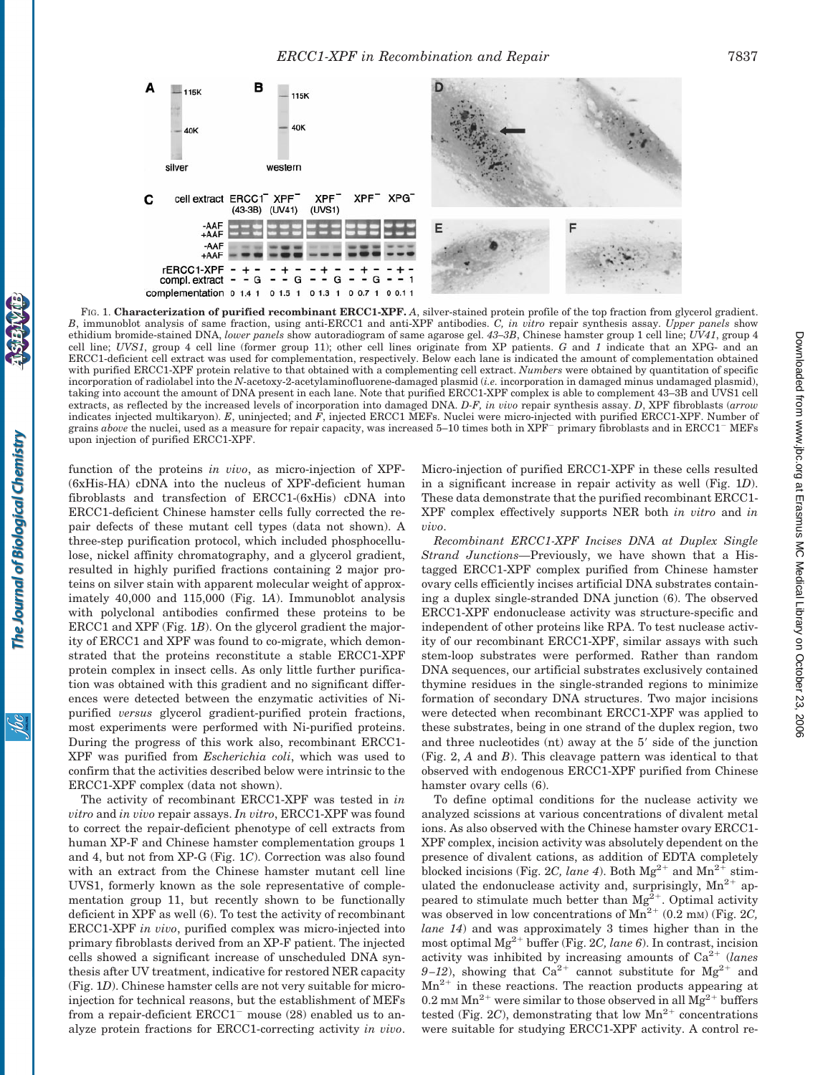

FIG. 1. **Characterization of purified recombinant ERCC1-XPF.** *A*, silver-stained protein profile of the top fraction from glycerol gradient. *B*, immunoblot analysis of same fraction, using anti-ERCC1 and anti-XPF antibodies. *C, in vitro* repair synthesis assay. *Upper panels* show ethidium bromide-stained DNA, *lower panels* show autoradiogram of same agarose gel. *43–3B*, Chinese hamster group 1 cell line; *UV41*, group 4 cell line; *UVS1*, group 4 cell line (former group 11); other cell lines originate from XP patients. *G* and *1* indicate that an XPG- and an ERCC1-deficient cell extract was used for complementation, respectively. Below each lane is indicated the amount of complementation obtained with purified ERCC1-XPF protein relative to that obtained with a complementing cell extract. *Numbers* were obtained by quantitation of specific incorporation of radiolabel into the *N*-acetoxy-2-acetylaminofluorene-damaged plasmid (*i.e.* incorporation in damaged minus undamaged plasmid), taking into account the amount of DNA present in each lane. Note that purified ERCC1-XPF complex is able to complement 43–3B and UVS1 cell extracts, as reflected by the increased levels of incorporation into damaged DNA. *D-F, in vivo* repair synthesis assay. *D*, XPF fibroblasts (*arrow* indicates injected multikaryon). *E*, uninjected; and *F*, injected ERCC1 MEFs. Nuclei were micro-injected with purified ERCC1-XPF. Number of grains *above* the nuclei, used as a measure for repair capacity, was increased 5–10 times both in XPF<sup>-</sup> primary fibroblasts and in ERCC1<sup>-</sup> MEFs upon injection of purified ERCC1-XPF.

function of the proteins *in vivo*, as micro-injection of XPF- (6xHis-HA) cDNA into the nucleus of XPF-deficient human fibroblasts and transfection of ERCC1-(6xHis) cDNA into ERCC1-deficient Chinese hamster cells fully corrected the repair defects of these mutant cell types (data not shown). A three-step purification protocol, which included phosphocellulose, nickel affinity chromatography, and a glycerol gradient, resulted in highly purified fractions containing 2 major proteins on silver stain with apparent molecular weight of approximately 40,000 and 115,000 (Fig. 1*A*). Immunoblot analysis with polyclonal antibodies confirmed these proteins to be ERCC1 and XPF (Fig. 1*B*). On the glycerol gradient the majority of ERCC1 and XPF was found to co-migrate, which demonstrated that the proteins reconstitute a stable ERCC1-XPF protein complex in insect cells. As only little further purification was obtained with this gradient and no significant differences were detected between the enzymatic activities of Nipurified *versus* glycerol gradient-purified protein fractions, most experiments were performed with Ni-purified proteins. During the progress of this work also, recombinant ERCC1- XPF was purified from *Escherichia coli*, which was used to confirm that the activities described below were intrinsic to the ERCC1-XPF complex (data not shown).

The activity of recombinant ERCC1-XPF was tested in *in vitro* and *in vivo* repair assays. *In vitro*, ERCC1-XPF was found to correct the repair-deficient phenotype of cell extracts from human XP-F and Chinese hamster complementation groups 1 and 4, but not from XP-G (Fig. 1*C*). Correction was also found with an extract from the Chinese hamster mutant cell line UVS1, formerly known as the sole representative of complementation group 11, but recently shown to be functionally deficient in XPF as well (6). To test the activity of recombinant ERCC1-XPF *in vivo*, purified complex was micro-injected into primary fibroblasts derived from an XP-F patient. The injected cells showed a significant increase of unscheduled DNA synthesis after UV treatment, indicative for restored NER capacity (Fig. 1*D*). Chinese hamster cells are not very suitable for microinjection for technical reasons, but the establishment of MEFs from a repair-deficient  $ERCC1^-$  mouse (28) enabled us to analyze protein fractions for ERCC1-correcting activity *in vivo*.

Micro-injection of purified ERCC1-XPF in these cells resulted in a significant increase in repair activity as well (Fig. 1*D*). These data demonstrate that the purified recombinant ERCC1- XPF complex effectively supports NER both *in vitro* and *in vivo*.

*Recombinant ERCC1-XPF Incises DNA at Duplex Single Strand Junctions—*Previously, we have shown that a Histagged ERCC1-XPF complex purified from Chinese hamster ovary cells efficiently incises artificial DNA substrates containing a duplex single-stranded DNA junction (6). The observed ERCC1-XPF endonuclease activity was structure-specific and independent of other proteins like RPA. To test nuclease activity of our recombinant ERCC1-XPF, similar assays with such stem-loop substrates were performed. Rather than random DNA sequences, our artificial substrates exclusively contained thymine residues in the single-stranded regions to minimize formation of secondary DNA structures. Two major incisions were detected when recombinant ERCC1-XPF was applied to these substrates, being in one strand of the duplex region, two and three nucleotides  $(nt)$  away at the  $5'$  side of the junction (Fig. 2, *A* and *B*). This cleavage pattern was identical to that observed with endogenous ERCC1-XPF purified from Chinese hamster ovary cells (6).

To define optimal conditions for the nuclease activity we analyzed scissions at various concentrations of divalent metal ions. As also observed with the Chinese hamster ovary ERCC1- XPF complex, incision activity was absolutely dependent on the presence of divalent cations, as addition of EDTA completely blocked incisions (Fig. 2*C, lane 4*). Both  $Mg^{2+}$  and  $Mn^{2+}$  stimulated the endonuclease activity and, surprisingly,  $Mn^{2+}$  appeared to stimulate much better than  $Mg^{2+}$ . Optimal activity was observed in low concentrations of  $Mn^{2+}$  (0.2 mm) (Fig. 2*C*, *lane 14*) and was approximately 3 times higher than in the most optimal  $Mg^{2+}$  buffer (Fig. 2*C, lane 6*). In contrast, incision activity was inhibited by increasing amounts of  $Ca^{2+}$  (*lanes*  $9-12$ ), showing that  $Ca^{2+}$  cannot substitute for  $Mg^{2+}$  and  $Mn^{2+}$  in these reactions. The reaction products appearing at 0.2 mm  $Mn^{2+}$  were similar to those observed in all  $Mg^{2+}$  buffers tested (Fig. 2*C*), demonstrating that low  $Mn^{2+}$  concentrations were suitable for studying ERCC1-XPF activity. A control re-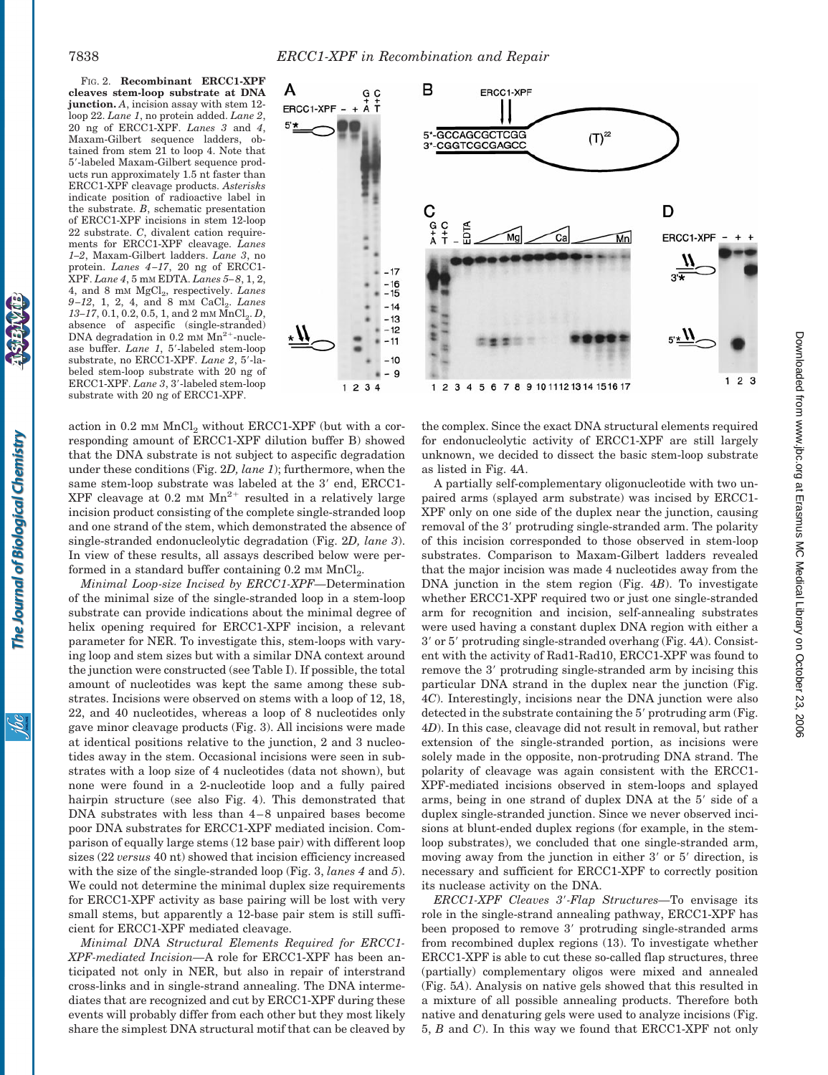FIG. 2. **Recombinant ERCC1-XPF cleaves stem-loop substrate at DNA junction.** *A*, incision assay with stem 12 loop 22. *Lane 1*, no protein added. *Lane 2*, 20 ng of ERCC1-XPF. *Lanes 3* and *4*, Maxam-Gilbert sequence ladders, obtained from stem 21 to loop 4. Note that 5'-labeled Maxam-Gilbert sequence products run approximately 1.5 nt faster than ERCC1-XPF cleavage products. *Asterisks* indicate position of radioactive label in the substrate. *B*, schematic presentation of ERCC1-XPF incisions in stem 12-loop 22 substrate. *C*, divalent cation requirements for ERCC1-XPF cleavage. *Lanes 1–2*, Maxam-Gilbert ladders. *Lane 3*, no protein. *Lanes 4–17*, 20 ng of ERCC1- XPF. *Lane 4*,5mM EDTA. *Lanes 5–8*, 1, 2, 4, and 8 mM MgCl<sub>2</sub>, respectively. *Lanes 9-12*, 1, 2, 4, and 8 mM CaCl<sub>2</sub>. *Lanes*  $13-17$ , 0.1, 0.2, 0.5, 1, and 2 mm  $\text{MnCl}_2$ , *D*, absence of aspecific (single-stranded) DNA degradation in  $0.2$  mm  $Mn^{2+}$ -nuclease buffer. *Lane 1*, 5'-labeled stem-loop substrate, no ERCC1-XPF. Lane 2, 5'-labeled stem-loop substrate with 20 ng of ERCC1-XPF. Lane 3, 3'-labeled stem-loop substrate with 20 ng of ERCC1-XPF.



action in  $0.2$  mm  $MnCl<sub>2</sub>$  without ERCC1-XPF (but with a corresponding amount of ERCC1-XPF dilution buffer B) showed that the DNA substrate is not subject to aspecific degradation under these conditions (Fig. 2*D, lane 1*); furthermore, when the same stem-loop substrate was labeled at the 3' end, ERCC1-XPF cleavage at  $0.2$  mm  $Mn^{2+}$  resulted in a relatively large incision product consisting of the complete single-stranded loop and one strand of the stem, which demonstrated the absence of single-stranded endonucleolytic degradation (Fig. 2*D, lane 3*). In view of these results, all assays described below were performed in a standard buffer containing  $0.2 \text{ mm } \text{MnCl}_2$ .

*Minimal Loop-size Incised by ERCC1-XPF—*Determination of the minimal size of the single-stranded loop in a stem-loop substrate can provide indications about the minimal degree of helix opening required for ERCC1-XPF incision, a relevant parameter for NER. To investigate this, stem-loops with varying loop and stem sizes but with a similar DNA context around the junction were constructed (see Table I). If possible, the total amount of nucleotides was kept the same among these substrates. Incisions were observed on stems with a loop of 12, 18, 22, and 40 nucleotides, whereas a loop of 8 nucleotides only gave minor cleavage products (Fig. 3). All incisions were made at identical positions relative to the junction, 2 and 3 nucleotides away in the stem. Occasional incisions were seen in substrates with a loop size of 4 nucleotides (data not shown), but none were found in a 2-nucleotide loop and a fully paired hairpin structure (see also Fig. 4). This demonstrated that DNA substrates with less than 4–8 unpaired bases become poor DNA substrates for ERCC1-XPF mediated incision. Comparison of equally large stems (12 base pair) with different loop sizes (22 *versus* 40 nt) showed that incision efficiency increased with the size of the single-stranded loop (Fig. 3, *lanes 4* and *5*). We could not determine the minimal duplex size requirements for ERCC1-XPF activity as base pairing will be lost with very small stems, but apparently a 12-base pair stem is still sufficient for ERCC1-XPF mediated cleavage.

*Minimal DNA Structural Elements Required for ERCC1- XPF-mediated Incision—*A role for ERCC1-XPF has been anticipated not only in NER, but also in repair of interstrand cross-links and in single-strand annealing. The DNA intermediates that are recognized and cut by ERCC1-XPF during these events will probably differ from each other but they most likely share the simplest DNA structural motif that can be cleaved by

the complex. Since the exact DNA structural elements required for endonucleolytic activity of ERCC1-XPF are still largely unknown, we decided to dissect the basic stem-loop substrate as listed in Fig. 4*A*.

A partially self-complementary oligonucleotide with two unpaired arms (splayed arm substrate) was incised by ERCC1- XPF only on one side of the duplex near the junction, causing removal of the 3' protruding single-stranded arm. The polarity of this incision corresponded to those observed in stem-loop substrates. Comparison to Maxam-Gilbert ladders revealed that the major incision was made 4 nucleotides away from the DNA junction in the stem region (Fig. 4*B*). To investigate whether ERCC1-XPF required two or just one single-stranded arm for recognition and incision, self-annealing substrates were used having a constant duplex DNA region with either a 39 or 59 protruding single-stranded overhang (Fig. 4*A*). Consistent with the activity of Rad1-Rad10, ERCC1-XPF was found to remove the 3' protruding single-stranded arm by incising this particular DNA strand in the duplex near the junction (Fig. 4*C*). Interestingly, incisions near the DNA junction were also detected in the substrate containing the  $5'$  protruding arm (Fig. 4*D*). In this case, cleavage did not result in removal, but rather extension of the single-stranded portion, as incisions were solely made in the opposite, non-protruding DNA strand. The polarity of cleavage was again consistent with the ERCC1- XPF-mediated incisions observed in stem-loops and splayed arms, being in one strand of duplex DNA at the 5' side of a duplex single-stranded junction. Since we never observed incisions at blunt-ended duplex regions (for example, in the stemloop substrates), we concluded that one single-stranded arm, moving away from the junction in either  $3'$  or  $5'$  direction, is necessary and sufficient for ERCC1-XPF to correctly position its nuclease activity on the DNA.

*ERCC1-XPF Cleaves 3'-Flap Structures*—To envisage its role in the single-strand annealing pathway, ERCC1-XPF has been proposed to remove 3' protruding single-stranded arms from recombined duplex regions (13). To investigate whether ERCC1-XPF is able to cut these so-called flap structures, three (partially) complementary oligos were mixed and annealed (Fig. 5*A*). Analysis on native gels showed that this resulted in a mixture of all possible annealing products. Therefore both native and denaturing gels were used to analyze incisions (Fig. 5, *B* and *C*). In this way we found that ERCC1-XPF not only

<u>isi</u>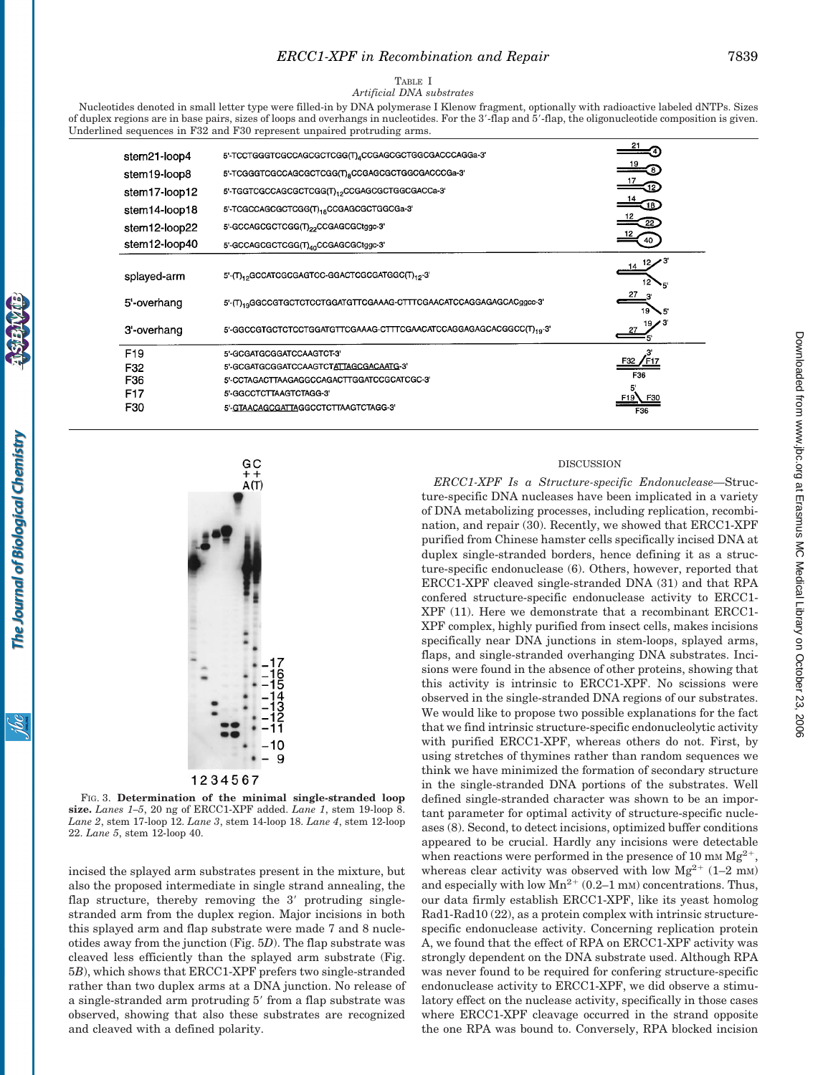TABLE I

*Artificial DNA substrates*

Nucleotides denoted in small letter type were filled-in by DNA polymerase I Klenow fragment, optionally with radioactive labeled dNTPs. Sizes of duplex regions are in base pairs, sizes of loops and overhangs in nucleotides. For the 3'-flap and 5'-flap, the oligonucleotide composition is given. Underlined sequences in F32 and F30 represent unpaired protruding arms.

| stem21-loop4    | 5'-TCCTGGGTCGCCAGCGCTCGG(T) <sub>4</sub> CCGAGCGCTGGCGACCCAGGa-3'               |     |
|-----------------|---------------------------------------------------------------------------------|-----|
| stem19-loop8    | 5'-TCGGGTCGCCAGCGCTCGG(T) <sub>8</sub> CCGAGCGCTGGCGACCCGa-3'                   |     |
| stem17-loop12   | 5'-TGGTCGCCAGCGCTCGG(T) <sub>12</sub> CCGAGCGCTGGCGACCa-3'                      |     |
| stem14-loop18   | 5'-TCGCCAGCGCTCGG(T) <sub>18</sub> CCGAGCGCTGGCGa-3'                            |     |
| stem12-loop22   | 5'-GCCAGCGCTCGG(T)22CCGAGCGCtggc-3'                                             |     |
| stem12-loop40   | 5'-GCCAGCGCTCGG(T) <sub>40</sub> CCGAGCGCtggc-3'                                |     |
| splayed-arm     | 5'-(T)12GCCATCGCGAGTCC-GGACTCGCGATGGC(T)12-3'                                   |     |
| 5'-overhang     | 5'-(T) <sub>19</sub> GGCCGTGCTCTCCTGGATGTTCGAAAG-CTTTCGAACATCCAGGAGAGCACggcc-3' |     |
| 3'-overhang     | 5'-GGCCGTGCTCTCCTGGATGTTCGAAAG-CTTTCGAACATCCAGGAGAGCACGGCC(T) <sub>19</sub> -3' |     |
| F <sub>19</sub> | 5'-GCGATGCGGATCCAAGTCT-3'                                                       |     |
| F32             | 5'-GCGATGCGGATCCAAGTCTATTAGCGACAATG-3'                                          |     |
| F36             | 5-CCTAGACTTAAGAGGCCAGACTTGGATCCGCATCGC-3                                        | F36 |
| F17             | 5'-GGCCTCTTAAGTCTAGG-3'                                                         |     |
| F30             | 5'-GTAACAGCGATTAGGCCTCTTAAGTCTAGG-3'                                            | F36 |



FIG. 3. **Determination of the minimal single-stranded loop size.** *Lanes 1–5*, 20 ng of ERCC1-XPF added. *Lane 1*, stem 19-loop 8. *Lane 2*, stem 17-loop 12. *Lane 3*, stem 14-loop 18. *Lane 4*, stem 12-loop 22. *Lane 5*, stem 12-loop 40.

incised the splayed arm substrates present in the mixture, but also the proposed intermediate in single strand annealing, the flap structure, thereby removing the  $3'$  protruding singlestranded arm from the duplex region. Major incisions in both this splayed arm and flap substrate were made 7 and 8 nucleotides away from the junction (Fig. 5*D*). The flap substrate was cleaved less efficiently than the splayed arm substrate (Fig. 5*B*), which shows that ERCC1-XPF prefers two single-stranded rather than two duplex arms at a DNA junction. No release of a single-stranded arm protruding 5' from a flap substrate was observed, showing that also these substrates are recognized and cleaved with a defined polarity.

## DISCUSSION

*ERCC1-XPF Is a Structure-specific Endonuclease—*Structure-specific DNA nucleases have been implicated in a variety of DNA metabolizing processes, including replication, recombination, and repair (30). Recently, we showed that ERCC1-XPF purified from Chinese hamster cells specifically incised DNA at duplex single-stranded borders, hence defining it as a structure-specific endonuclease (6). Others, however, reported that ERCC1-XPF cleaved single-stranded DNA (31) and that RPA confered structure-specific endonuclease activity to ERCC1- XPF (11). Here we demonstrate that a recombinant ERCC1- XPF complex, highly purified from insect cells, makes incisions specifically near DNA junctions in stem-loops, splayed arms, flaps, and single-stranded overhanging DNA substrates. Incisions were found in the absence of other proteins, showing that this activity is intrinsic to ERCC1-XPF. No scissions were observed in the single-stranded DNA regions of our substrates. We would like to propose two possible explanations for the fact that we find intrinsic structure-specific endonucleolytic activity with purified ERCC1-XPF, whereas others do not. First, by using stretches of thymines rather than random sequences we think we have minimized the formation of secondary structure in the single-stranded DNA portions of the substrates. Well defined single-stranded character was shown to be an important parameter for optimal activity of structure-specific nucleases (8). Second, to detect incisions, optimized buffer conditions appeared to be crucial. Hardly any incisions were detectable when reactions were performed in the presence of 10 mm  $Mg^{2+}$ , whereas clear activity was observed with low  $Mg^{2+}$  (1–2 mM) and especially with low  $Mn^{2+}$  (0.2–1 mM) concentrations. Thus, our data firmly establish ERCC1-XPF, like its yeast homolog Rad1-Rad10 (22), as a protein complex with intrinsic structurespecific endonuclease activity. Concerning replication protein A, we found that the effect of RPA on ERCC1-XPF activity was strongly dependent on the DNA substrate used. Although RPA was never found to be required for confering structure-specific endonuclease activity to ERCC1-XPF, we did observe a stimulatory effect on the nuclease activity, specifically in those cases where ERCC1-XPF cleavage occurred in the strand opposite the one RPA was bound to. Conversely, RPA blocked incision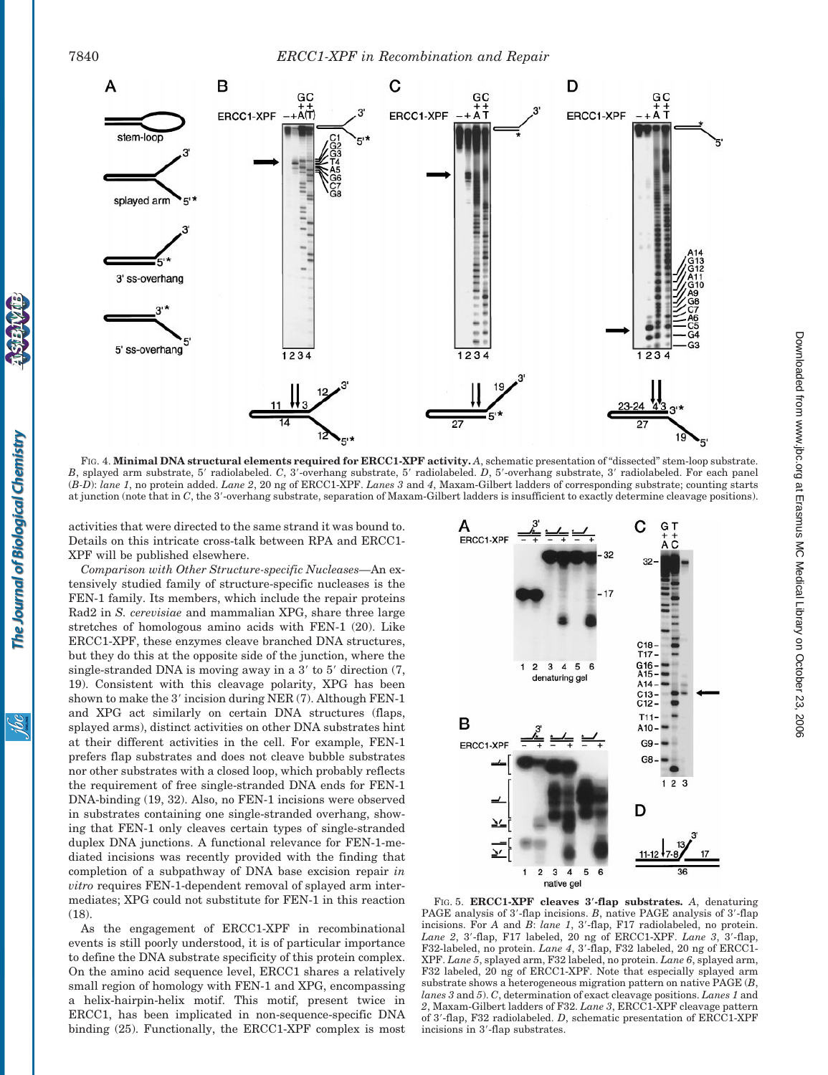

FIG. 4. **Minimal DNA structural elements required for ERCC1-XPF activity.** *A*, schematic presentation of "dissected" stem-loop substrate. *B*, splayed arm substrate, 5' radiolabeled. *C*, 3'-overhang substrate, 5' radiolabeled. *D*, 5'-overhang substrate, 3' radiolabeled. For each panel (*B-D*): *lane 1*, no protein added. *Lane 2*, 20 ng of ERCC1-XPF. *Lanes 3* and *4*, Maxam-Gilbert ladders of corresponding substrate; counting starts at junction (note that in *C*, the 3'-overhang substrate, separation of Maxam-Gilbert ladders is insufficient to exactly determine cleavage positions).

activities that were directed to the same strand it was bound to. Details on this intricate cross-talk between RPA and ERCC1- XPF will be published elsewhere.

*Comparison with Other Structure-specific Nucleases—*An extensively studied family of structure-specific nucleases is the FEN-1 family. Its members, which include the repair proteins Rad2 in *S. cerevisiae* and mammalian XPG, share three large stretches of homologous amino acids with FEN-1 (20). Like ERCC1-XPF, these enzymes cleave branched DNA structures, but they do this at the opposite side of the junction, where the single-stranded DNA is moving away in a  $3'$  to  $5'$  direction  $(7, 9)$ 19). Consistent with this cleavage polarity, XPG has been shown to make the  $3'$  incision during NER (7). Although FEN-1 and XPG act similarly on certain DNA structures (flaps, splayed arms), distinct activities on other DNA substrates hint at their different activities in the cell. For example, FEN-1 prefers flap substrates and does not cleave bubble substrates nor other substrates with a closed loop, which probably reflects the requirement of free single-stranded DNA ends for FEN-1 DNA-binding (19, 32). Also, no FEN-1 incisions were observed in substrates containing one single-stranded overhang, showing that FEN-1 only cleaves certain types of single-stranded duplex DNA junctions. A functional relevance for FEN-1-mediated incisions was recently provided with the finding that completion of a subpathway of DNA base excision repair *in vitro* requires FEN-1-dependent removal of splayed arm intermediates; XPG could not substitute for FEN-1 in this reaction  $(18)$ 

As the engagement of ERCC1-XPF in recombinational events is still poorly understood, it is of particular importance to define the DNA substrate specificity of this protein complex. On the amino acid sequence level, ERCC1 shares a relatively small region of homology with FEN-1 and XPG, encompassing a helix-hairpin-helix motif. This motif, present twice in ERCC1, has been implicated in non-sequence-specific DNA binding (25). Functionally, the ERCC1-XPF complex is most



Downloaded from www.jbc.org at Erasmus MC Medical Library on October 23, 2006

at Erasmus MC Medical Library on October 23, 2006 [www.jbc.or](http://www.jbc.org)g Downloaded from

FIG. 5. **ERCC1-XPF cleaves 3**\***-flap substrates.** *A*, denaturing PAGE analysis of 3'-flap incisions. *B*, native PAGE analysis of 3'-flap incisions. For *A* and *B*: *lane 1*, 3'-flap, F17 radiolabeled, no protein. Lane 2, 3'-flap, F17 labeled, 20 ng of ERCC1-XPF. *Lane 3*, 3'-flap, F32-labeled, no protein. *Lane 4*, 3'-flap, F32 labeled, 20 ng of ERCC1-XPF. *Lane 5*, splayed arm, F32 labeled, no protein. *Lane 6*, splayed arm, F32 labeled, 20 ng of ERCC1-XPF. Note that especially splayed arm substrate shows a heterogeneous migration pattern on native PAGE (*B*, *lanes 3* and *5*). *C*, determination of exact cleavage positions. *Lanes 1* and *2*, Maxam-Gilbert ladders of F32. *Lane 3*, ERCC1-XPF cleavage pattern of 3'-flap, F32 radiolabeled. *D*, schematic presentation of ERCC1-XPF incisions in 3'-flap substrates.

<u>isi</u>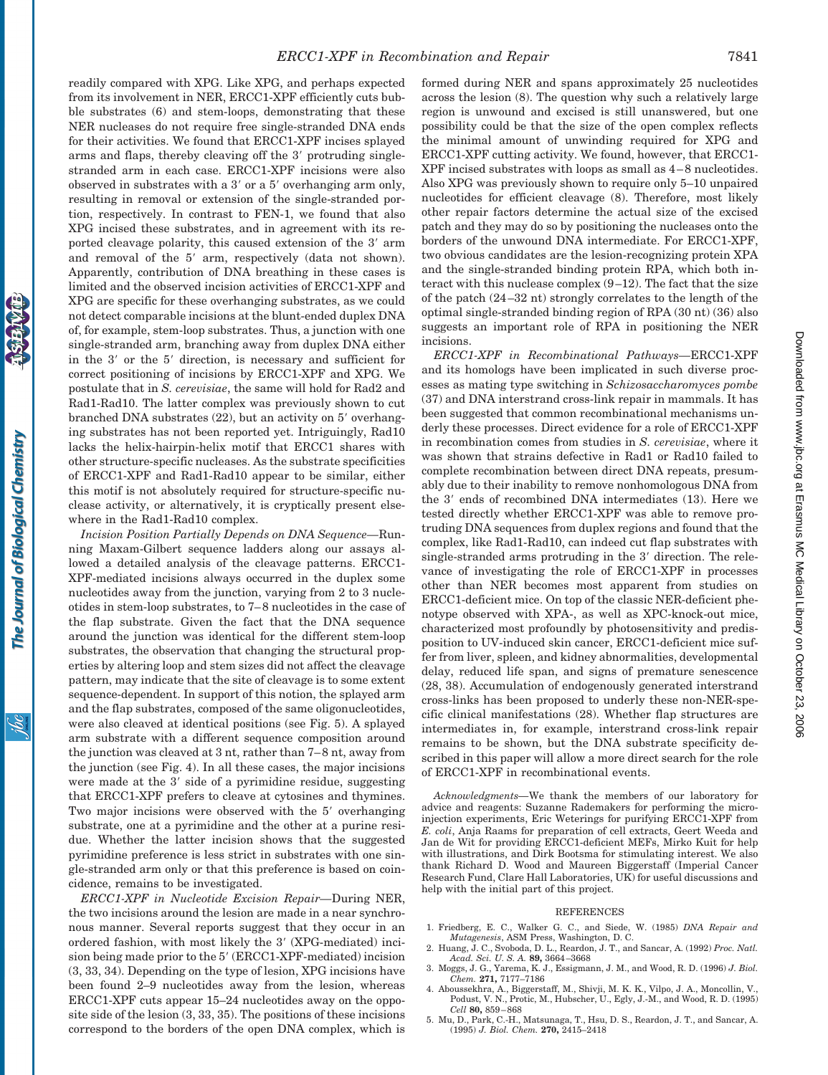readily compared with XPG. Like XPG, and perhaps expected from its involvement in NER, ERCC1-XPF efficiently cuts bubble substrates (6) and stem-loops, demonstrating that these NER nucleases do not require free single-stranded DNA ends for their activities. We found that ERCC1-XPF incises splayed arms and flaps, thereby cleaving off the 3' protruding singlestranded arm in each case. ERCC1-XPF incisions were also observed in substrates with a  $3'$  or a  $5'$  overhanging arm only, resulting in removal or extension of the single-stranded portion, respectively. In contrast to FEN-1, we found that also XPG incised these substrates, and in agreement with its reported cleavage polarity, this caused extension of the 3' arm and removal of the 5' arm, respectively (data not shown). Apparently, contribution of DNA breathing in these cases is limited and the observed incision activities of ERCC1-XPF and XPG are specific for these overhanging substrates, as we could not detect comparable incisions at the blunt-ended duplex DNA of, for example, stem-loop substrates. Thus, a junction with one single-stranded arm, branching away from duplex DNA either in the  $3'$  or the  $5'$  direction, is necessary and sufficient for correct positioning of incisions by ERCC1-XPF and XPG. We postulate that in *S. cerevisiae*, the same will hold for Rad2 and Rad1-Rad10. The latter complex was previously shown to cut branched DNA substrates  $(22)$ , but an activity on  $5'$  overhanging substrates has not been reported yet. Intriguingly, Rad10 lacks the helix-hairpin-helix motif that ERCC1 shares with other structure-specific nucleases. As the substrate specificities of ERCC1-XPF and Rad1-Rad10 appear to be similar, either this motif is not absolutely required for structure-specific nuclease activity, or alternatively, it is cryptically present elsewhere in the Rad1-Rad10 complex.

*Incision Position Partially Depends on DNA Sequence—*Running Maxam-Gilbert sequence ladders along our assays allowed a detailed analysis of the cleavage patterns. ERCC1- XPF-mediated incisions always occurred in the duplex some nucleotides away from the junction, varying from 2 to 3 nucleotides in stem-loop substrates, to 7–8 nucleotides in the case of the flap substrate. Given the fact that the DNA sequence around the junction was identical for the different stem-loop substrates, the observation that changing the structural properties by altering loop and stem sizes did not affect the cleavage pattern, may indicate that the site of cleavage is to some extent sequence-dependent. In support of this notion, the splayed arm and the flap substrates, composed of the same oligonucleotides, were also cleaved at identical positions (see Fig. 5). A splayed arm substrate with a different sequence composition around the junction was cleaved at 3 nt, rather than 7–8 nt, away from the junction (see Fig. 4). In all these cases, the major incisions were made at the  $3'$  side of a pyrimidine residue, suggesting that ERCC1-XPF prefers to cleave at cytosines and thymines. Two major incisions were observed with the 5' overhanging substrate, one at a pyrimidine and the other at a purine residue. Whether the latter incision shows that the suggested pyrimidine preference is less strict in substrates with one single-stranded arm only or that this preference is based on coincidence, remains to be investigated.

*ERCC1-XPF in Nucleotide Excision Repair—*During NER, the two incisions around the lesion are made in a near synchronous manner. Several reports suggest that they occur in an ordered fashion, with most likely the 3' (XPG-mediated) incision being made prior to the 5' (ERCC1-XPF-mediated) incision (3, 33, 34). Depending on the type of lesion, XPG incisions have been found 2–9 nucleotides away from the lesion, whereas ERCC1-XPF cuts appear 15–24 nucleotides away on the opposite side of the lesion (3, 33, 35). The positions of these incisions correspond to the borders of the open DNA complex, which is

formed during NER and spans approximately 25 nucleotides across the lesion (8). The question why such a relatively large region is unwound and excised is still unanswered, but one possibility could be that the size of the open complex reflects the minimal amount of unwinding required for XPG and ERCC1-XPF cutting activity. We found, however, that ERCC1- XPF incised substrates with loops as small as 4–8 nucleotides. Also XPG was previously shown to require only 5–10 unpaired nucleotides for efficient cleavage (8). Therefore, most likely other repair factors determine the actual size of the excised patch and they may do so by positioning the nucleases onto the borders of the unwound DNA intermediate. For ERCC1-XPF, two obvious candidates are the lesion-recognizing protein XPA and the single-stranded binding protein RPA, which both interact with this nuclease complex  $(9-12)$ . The fact that the size of the patch (24–32 nt) strongly correlates to the length of the optimal single-stranded binding region of RPA (30 nt) (36) also suggests an important role of RPA in positioning the NER incisions.

*ERCC1-XPF in Recombinational Pathways—*ERCC1-XPF and its homologs have been implicated in such diverse processes as mating type switching in *Schizosaccharomyces pombe* (37) and DNA interstrand cross-link repair in mammals. It has been suggested that common recombinational mechanisms underly these processes. Direct evidence for a role of ERCC1-XPF in recombination comes from studies in *S. cerevisiae*, where it was shown that strains defective in Rad1 or Rad10 failed to complete recombination between direct DNA repeats, presumably due to their inability to remove nonhomologous DNA from the 3' ends of recombined DNA intermediates (13). Here we tested directly whether ERCC1-XPF was able to remove protruding DNA sequences from duplex regions and found that the complex, like Rad1-Rad10, can indeed cut flap substrates with single-stranded arms protruding in the 3' direction. The relevance of investigating the role of ERCC1-XPF in processes other than NER becomes most apparent from studies on ERCC1-deficient mice. On top of the classic NER-deficient phenotype observed with XPA-, as well as XPC-knock-out mice, characterized most profoundly by photosensitivity and predisposition to UV-induced skin cancer, ERCC1-deficient mice suffer from liver, spleen, and kidney abnormalities, developmental delay, reduced life span, and signs of premature senescence (28, 38). Accumulation of endogenously generated interstrand cross-links has been proposed to underly these non-NER-specific clinical manifestations (28). Whether flap structures are intermediates in, for example, interstrand cross-link repair remains to be shown, but the DNA substrate specificity described in this paper will allow a more direct search for the role of ERCC1-XPF in recombinational events.

*Acknowledgments—*We thank the members of our laboratory for advice and reagents: Suzanne Rademakers for performing the microinjection experiments, Eric Weterings for purifying ERCC1-XPF from *E. coli*, Anja Raams for preparation of cell extracts, Geert Weeda and Jan de Wit for providing ERCC1-deficient MEFs, Mirko Kuit for help with illustrations, and Dirk Bootsma for stimulating interest. We also thank Richard D. Wood and Maureen Biggerstaff (Imperial Cancer Research Fund, Clare Hall Laboratories, UK) for useful discussions and help with the initial part of this project.

#### REFERENCES

- 1. Friedberg, E. C., Walker G. C., and Siede, W. (1985) *DNA Repair and Mutagenesis*, ASM Press, Washington, D. C.
- 2. Huang, J. C., Svoboda, D. L., Reardon, J. T., and Sancar, A. (1992) *Proc. Natl. Acad. Sci. U. S. A.* **89,** 3664–3668
- 3. Moggs, J. G., Yarema, K. J., Essigmann, J. M., and Wood, R. D. (1996) *J. Biol. Chem.* **271,** 7177–7186
- 4. Aboussekhra, A., Biggerstaff, M., Shivji, M. K. K., Vilpo, J. A., Moncollin, V., Podust, V. N., Protic, M., Hubscher, U., Egly, J.-M., and Wood, R. D. (1995) *Cell* **80,** 859–868
- 5. Mu, D., Park, C.-H., Matsunaga, T., Hsu, D. S., Reardon, J. T., and Sancar, A. (1995) *J. Biol. Chem.* **270,** 2415–2418

ibc